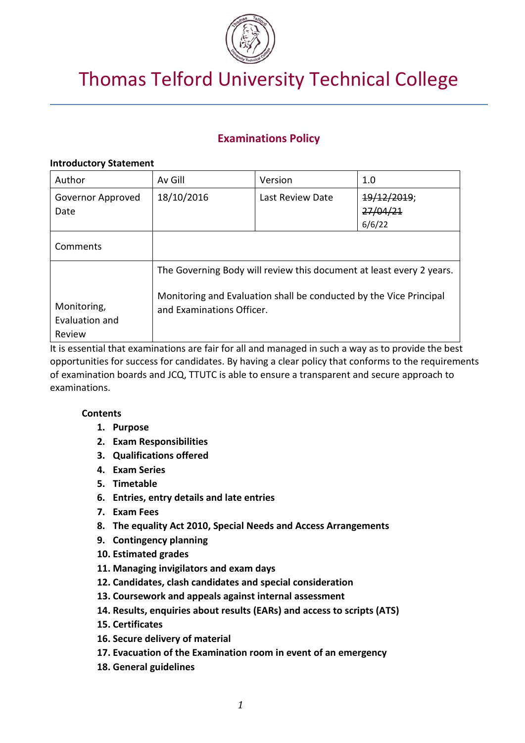

# Thomas Telford University Technical College

## **Examinations Policy**

## **Introductory Statement**

| Author                                  | Av Gill                                                                                                                                                                 | Version          | 1.0                               |
|-----------------------------------------|-------------------------------------------------------------------------------------------------------------------------------------------------------------------------|------------------|-----------------------------------|
| Governor Approved<br>Date               | 18/10/2016                                                                                                                                                              | Last Review Date | 19/12/2019;<br>27/04/21<br>6/6/22 |
| Comments                                |                                                                                                                                                                         |                  |                                   |
| Monitoring,<br>Evaluation and<br>Review | The Governing Body will review this document at least every 2 years.<br>Monitoring and Evaluation shall be conducted by the Vice Principal<br>and Examinations Officer. |                  |                                   |

It is essential that examinations are fair for all and managed in such a way as to provide the best opportunities for success for candidates. By having a clear policy that conforms to the requirements of examination boards and JCQ, TTUTC is able to ensure a transparent and secure approach to examinations.

## **Contents**

- **1. Purpose**
- **2. Exam Responsibilities**
- **3. Qualifications offered**
- **4. Exam Series**
- **5. Timetable**
- **6. Entries, entry details and late entries**
- **7. Exam Fees**
- **8. The equality Act 2010, Special Needs and Access Arrangements**
- **9. Contingency planning**
- **10. Estimated grades**
- **11. Managing invigilators and exam days**
- **12. Candidates, clash candidates and special consideration**
- **13. Coursework and appeals against internal assessment**
- **14. Results, enquiries about results (EARs) and access to scripts (ATS)**
- **15. Certificates**
- **16. Secure delivery of material**
- **17. Evacuation of the Examination room in event of an emergency**
- **18. General guidelines**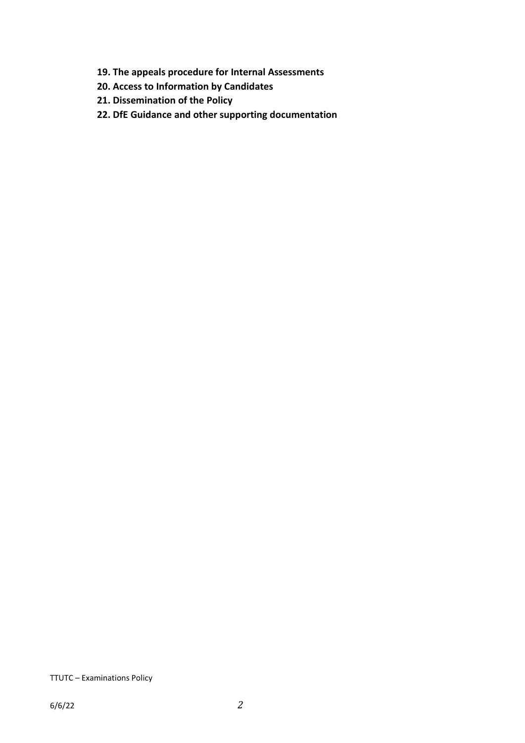- **19. The appeals procedure for Internal Assessments**
- **20. Access to Information by Candidates**
- **21. Dissemination of the Policy**
- **22. DfE Guidance and other supporting documentation**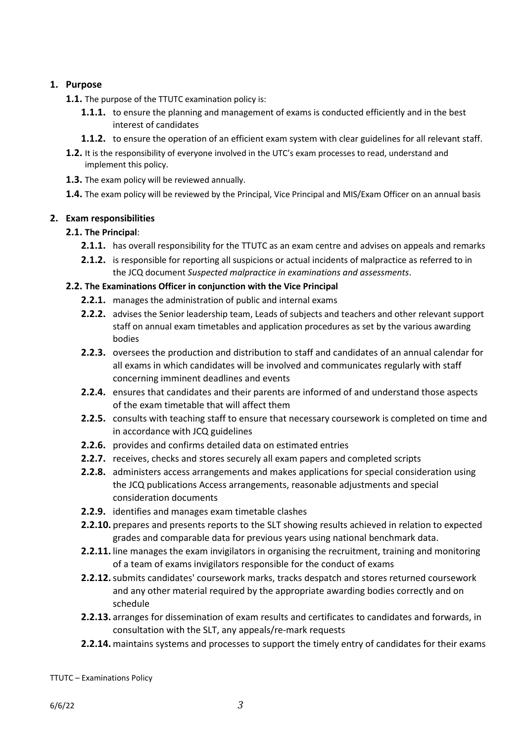## **1. Purpose**

- **1.1.** The purpose of the TTUTC examination policy is:
	- **1.1.1.** to ensure the planning and management of exams is conducted efficiently and in the best interest of candidates
	- **1.1.2.** to ensure the operation of an efficient exam system with clear guidelines for all relevant staff.
- **1.2.** It is the responsibility of everyone involved in the UTC's exam processes to read, understand and implement this policy.
- **1.3.** The exam policy will be reviewed annually.
- **1.4.** The exam policy will be reviewed by the Principal, Vice Principal and MIS/Exam Officer on an annual basis

## **2. Exam responsibilities**

## **2.1. The Principal**:

- **2.1.1.** has overall responsibility for the TTUTC as an exam centre and advises on appeals and remarks
- **2.1.2.** is responsible for reporting all suspicions or actual incidents of malpractice as referred to in the JCQ document *Suspected malpractice in examinations and assessments*.

## **2.2. The Examinations Officer in conjunction with the Vice Principal**

- **2.2.1.** manages the administration of public and internal exams
- **2.2.2.** advises the Senior leadership team, Leads of subjects and teachers and other relevant support staff on annual exam timetables and application procedures as set by the various awarding bodies
- **2.2.3.** oversees the production and distribution to staff and candidates of an annual calendar for all exams in which candidates will be involved and communicates regularly with staff concerning imminent deadlines and events
- **2.2.4.** ensures that candidates and their parents are informed of and understand those aspects of the exam timetable that will affect them
- **2.2.5.** consults with teaching staff to ensure that necessary coursework is completed on time and in accordance with JCQ guidelines
- **2.2.6.** provides and confirms detailed data on estimated entries
- **2.2.7.** receives, checks and stores securely all exam papers and completed scripts
- **2.2.8.** administers access arrangements and makes applications for special consideration using the JCQ publications Access arrangements, reasonable adjustments and special consideration documents
- **2.2.9.** identifies and manages exam timetable clashes
- **2.2.10.** prepares and presents reports to the SLT showing results achieved in relation to expected grades and comparable data for previous years using national benchmark data.
- **2.2.11.** line manages the exam invigilators in organising the recruitment, training and monitoring of a team of exams invigilators responsible for the conduct of exams
- **2.2.12.**submits candidates' coursework marks, tracks despatch and stores returned coursework and any other material required by the appropriate awarding bodies correctly and on schedule
- **2.2.13.** arranges for dissemination of exam results and certificates to candidates and forwards, in consultation with the SLT, any appeals/re-mark requests
- **2.2.14.** maintains systems and processes to support the timely entry of candidates for their exams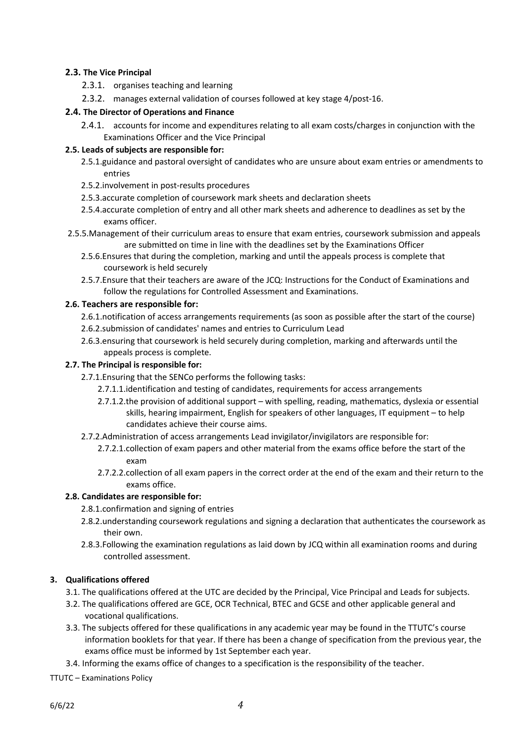## **2.3. The Vice Principal**

- 2.3.1. organises teaching and learning
- 2.3.2. manages external validation of courses followed at key stage 4/post-16.

## **2.4. The Director of Operations and Finance**

2.4.1. accounts for income and expenditures relating to all exam costs/charges in conjunction with the Examinations Officer and the Vice Principal

## **2.5. Leads of subjects are responsible for:**

- 2.5.1.guidance and pastoral oversight of candidates who are unsure about exam entries or amendments to entries
- 2.5.2.involvement in post-results procedures
- 2.5.3.accurate completion of coursework mark sheets and declaration sheets
- 2.5.4.accurate completion of entry and all other mark sheets and adherence to deadlines as set by the exams officer.
- 2.5.5.Management of their curriculum areas to ensure that exam entries, coursework submission and appeals are submitted on time in line with the deadlines set by the Examinations Officer
	- 2.5.6.Ensures that during the completion, marking and until the appeals process is complete that coursework is held securely
	- 2.5.7.Ensure that their teachers are aware of the JCQ: Instructions for the Conduct of Examinations and follow the regulations for Controlled Assessment and Examinations.

#### **2.6. Teachers are responsible for:**

- 2.6.1.notification of access arrangements requirements (as soon as possible after the start of the course)
- 2.6.2.submission of candidates' names and entries to Curriculum Lead
- 2.6.3.ensuring that coursework is held securely during completion, marking and afterwards until the appeals process is complete.

## **2.7. The Principal is responsible for:**

- 2.7.1.Ensuring that the SENCo performs the following tasks:
	- 2.7.1.1.identification and testing of candidates, requirements for access arrangements
	- 2.7.1.2.the provision of additional support with spelling, reading, mathematics, dyslexia or essential skills, hearing impairment, English for speakers of other languages, IT equipment – to help candidates achieve their course aims.
- 2.7.2.Administration of access arrangements Lead invigilator/invigilators are responsible for:
	- 2.7.2.1.collection of exam papers and other material from the exams office before the start of the exam
	- 2.7.2.2.collection of all exam papers in the correct order at the end of the exam and their return to the exams office.

## **2.8. Candidates are responsible for:**

- 2.8.1.confirmation and signing of entries
- 2.8.2.understanding coursework regulations and signing a declaration that authenticates the coursework as their own.
- 2.8.3.Following the examination regulations as laid down by JCQ within all examination rooms and during controlled assessment.

## **3. Qualifications offered**

- 3.1. The qualifications offered at the UTC are decided by the Principal, Vice Principal and Leads for subjects.
- 3.2. The qualifications offered are GCE, OCR Technical, BTEC and GCSE and other applicable general and vocational qualifications.
- 3.3. The subjects offered for these qualifications in any academic year may be found in the TTUTC's course information booklets for that year. If there has been a change of specification from the previous year, the exams office must be informed by 1st September each year.
- 3.4. Informing the exams office of changes to a specification is the responsibility of the teacher.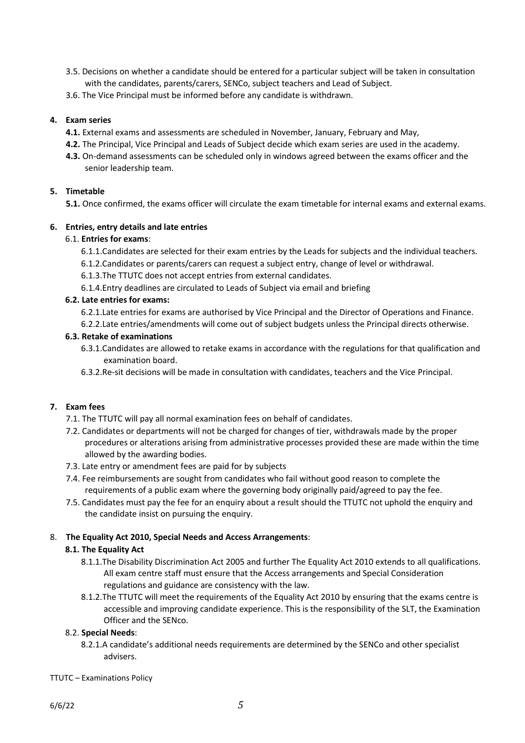- 3.5. Decisions on whether a candidate should be entered for a particular subject will be taken in consultation with the candidates, parents/carers, SENCo, subject teachers and Lead of Subject.
- 3.6. The Vice Principal must be informed before any candidate is withdrawn.

## **4. Exam series**

- **4.1.** External exams and assessments are scheduled in November, January, February and May,
- **4.2.** The Principal, Vice Principal and Leads of Subject decide which exam series are used in the academy.
- **4.3.** On-demand assessments can be scheduled only in windows agreed between the exams officer and the senior leadership team.

## **5. Timetable**

**5.1.** Once confirmed, the exams officer will circulate the exam timetable for internal exams and external exams.

## **6. Entries, entry details and late entries**

## 6.1. **Entries for exams**:

- 6.1.1.Candidates are selected for their exam entries by the Leads for subjects and the individual teachers.
- 6.1.2.Candidates or parents/carers can request a subject entry, change of level or withdrawal.
- 6.1.3.The TTUTC does not accept entries from external candidates.
- 6.1.4.Entry deadlines are circulated to Leads of Subject via email and briefing

## **6.2. Late entries for exams:**

- 6.2.1.Late entries for exams are authorised by Vice Principal and the Director of Operations and Finance.
- 6.2.2.Late entries/amendments will come out of subject budgets unless the Principal directs otherwise.

#### **6.3. Retake of examinations**

- 6.3.1.Candidates are allowed to retake exams in accordance with the regulations for that qualification and examination board.
- 6.3.2.Re-sit decisions will be made in consultation with candidates, teachers and the Vice Principal.

## **7. Exam fees**

- 7.1. The TTUTC will pay all normal examination fees on behalf of candidates.
- 7.2. Candidates or departments will not be charged for changes of tier, withdrawals made by the proper procedures or alterations arising from administrative processes provided these are made within the time allowed by the awarding bodies.
- 7.3. Late entry or amendment fees are paid for by subjects
- 7.4. Fee reimbursements are sought from candidates who fail without good reason to complete the requirements of a public exam where the governing body originally paid/agreed to pay the fee.
- 7.5. Candidates must pay the fee for an enquiry about a result should the TTUTC not uphold the enquiry and the candidate insist on pursuing the enquiry.

## 8. **The Equality Act 2010, Special Needs and Access Arrangements**:

#### **8.1. The Equality Act**

- 8.1.1.The Disability Discrimination Act 2005 and further The Equality Act 2010 extends to all qualifications. All exam centre staff must ensure that the Access arrangements and Special Consideration regulations and guidance are consistency with the law.
- 8.1.2.The TTUTC will meet the requirements of the Equality Act 2010 by ensuring that the exams centre is accessible and improving candidate experience. This is the responsibility of the SLT, the Examination Officer and the SENco.

#### 8.2. **Special Needs**:

- 8.2.1.A candidate's additional needs requirements are determined by the SENCo and other specialist advisers.
- TTUTC Examinations Policy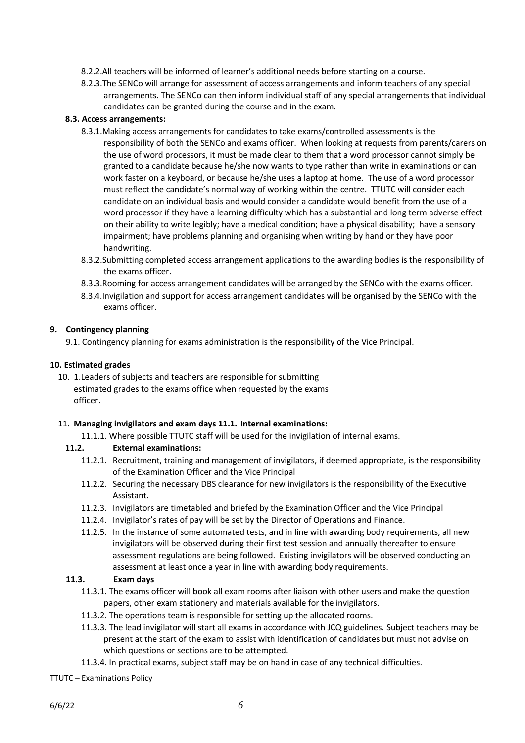- 8.2.2.All teachers will be informed of learner's additional needs before starting on a course.
- 8.2.3.The SENCo will arrange for assessment of access arrangements and inform teachers of any special arrangements. The SENCo can then inform individual staff of any special arrangements that individual candidates can be granted during the course and in the exam.

#### **8.3. Access arrangements:**

- 8.3.1.Making access arrangements for candidates to take exams/controlled assessments is the responsibility of both the SENCo and exams officer. When looking at requests from parents/carers on the use of word processors, it must be made clear to them that a word processor cannot simply be granted to a candidate because he/she now wants to type rather than write in examinations or can work faster on a keyboard, or because he/she uses a laptop at home. The use of a word processor must reflect the candidate's normal way of working within the centre. TTUTC will consider each candidate on an individual basis and would consider a candidate would benefit from the use of a word processor if they have a learning difficulty which has a substantial and long term adverse effect on their ability to write legibly; have a medical condition; have a physical disability; have a sensory impairment; have problems planning and organising when writing by hand or they have poor handwriting.
- 8.3.2.Submitting completed access arrangement applications to the awarding bodies is the responsibility of the exams officer.
- 8.3.3.Rooming for access arrangement candidates will be arranged by the SENCo with the exams officer.
- 8.3.4.Invigilation and support for access arrangement candidates will be organised by the SENCo with the exams officer.

#### **9. Contingency planning**

9.1. Contingency planning for exams administration is the responsibility of the Vice Principal.

#### **10. Estimated grades**

10. 1.Leaders of subjects and teachers are responsible for submitting estimated grades to the exams office when requested by the exams officer.

#### 11. **Managing invigilators and exam days 11.1. Internal examinations:**

11.1.1. Where possible TTUTC staff will be used for the invigilation of internal exams.

#### **11.2. External examinations:**

- 11.2.1. Recruitment, training and management of invigilators, if deemed appropriate, is the responsibility of the Examination Officer and the Vice Principal
- 11.2.2. Securing the necessary DBS clearance for new invigilators is the responsibility of the Executive Assistant.
- 11.2.3. Invigilators are timetabled and briefed by the Examination Officer and the Vice Principal
- 11.2.4. Invigilator's rates of pay will be set by the Director of Operations and Finance.
- 11.2.5. In the instance of some automated tests, and in line with awarding body requirements, all new invigilators will be observed during their first test session and annually thereafter to ensure assessment regulations are being followed. Existing invigilators will be observed conducting an assessment at least once a year in line with awarding body requirements.

#### **11.3. Exam days**

- 11.3.1. The exams officer will book all exam rooms after liaison with other users and make the question papers, other exam stationery and materials available for the invigilators.
- 11.3.2. The operations team is responsible for setting up the allocated rooms.
- 11.3.3. The lead invigilator will start all exams in accordance with JCQ guidelines. Subject teachers may be present at the start of the exam to assist with identification of candidates but must not advise on which questions or sections are to be attempted.
- 11.3.4. In practical exams, subject staff may be on hand in case of any technical difficulties.
- TTUTC Examinations Policy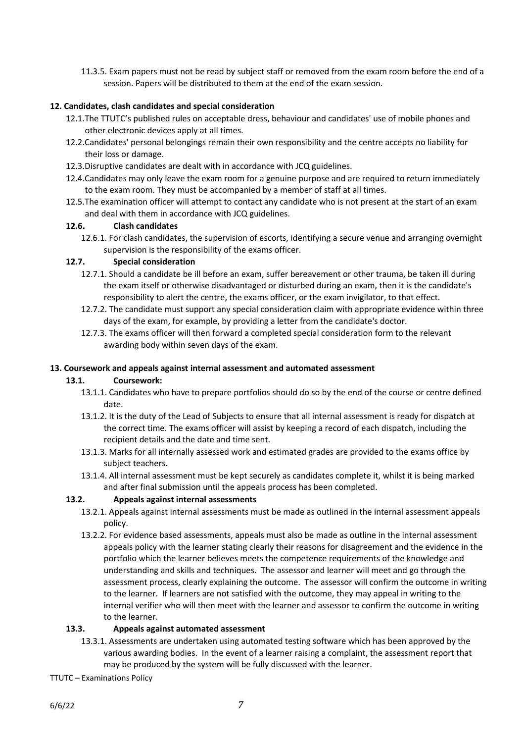11.3.5. Exam papers must not be read by subject staff or removed from the exam room before the end of a session. Papers will be distributed to them at the end of the exam session.

## **12. Candidates, clash candidates and special consideration**

- 12.1.The TTUTC's published rules on acceptable dress, behaviour and candidates' use of mobile phones and other electronic devices apply at all times.
- 12.2.Candidates' personal belongings remain their own responsibility and the centre accepts no liability for their loss or damage.
- 12.3.Disruptive candidates are dealt with in accordance with JCQ guidelines.
- 12.4.Candidates may only leave the exam room for a genuine purpose and are required to return immediately to the exam room. They must be accompanied by a member of staff at all times.
- 12.5.The examination officer will attempt to contact any candidate who is not present at the start of an exam and deal with them in accordance with JCQ guidelines.

#### **12.6. Clash candidates**

12.6.1. For clash candidates, the supervision of escorts, identifying a secure venue and arranging overnight supervision is the responsibility of the exams officer.

## **12.7. Special consideration**

- 12.7.1. Should a candidate be ill before an exam, suffer bereavement or other trauma, be taken ill during the exam itself or otherwise disadvantaged or disturbed during an exam, then it is the candidate's responsibility to alert the centre, the exams officer, or the exam invigilator, to that effect.
- 12.7.2. The candidate must support any special consideration claim with appropriate evidence within three days of the exam, for example, by providing a letter from the candidate's doctor.
- 12.7.3. The exams officer will then forward a completed special consideration form to the relevant awarding body within seven days of the exam.

## **13. Coursework and appeals against internal assessment and automated assessment**

#### **13.1. Coursework:**

- 13.1.1. Candidates who have to prepare portfolios should do so by the end of the course or centre defined date.
- 13.1.2. It is the duty of the Lead of Subjects to ensure that all internal assessment is ready for dispatch at the correct time. The exams officer will assist by keeping a record of each dispatch, including the recipient details and the date and time sent.
- 13.1.3. Marks for all internally assessed work and estimated grades are provided to the exams office by subject teachers.
- 13.1.4. All internal assessment must be kept securely as candidates complete it, whilst it is being marked and after final submission until the appeals process has been completed.

## **13.2. Appeals against internal assessments**

- 13.2.1. Appeals against internal assessments must be made as outlined in the internal assessment appeals policy.
- 13.2.2. For evidence based assessments, appeals must also be made as outline in the internal assessment appeals policy with the learner stating clearly their reasons for disagreement and the evidence in the portfolio which the learner believes meets the competence requirements of the knowledge and understanding and skills and techniques. The assessor and learner will meet and go through the assessment process, clearly explaining the outcome. The assessor will confirm the outcome in writing to the learner. If learners are not satisfied with the outcome, they may appeal in writing to the internal verifier who will then meet with the learner and assessor to confirm the outcome in writing to the learner.

#### **13.3. Appeals against automated assessment**

- 13.3.1. Assessments are undertaken using automated testing software which has been approved by the various awarding bodies. In the event of a learner raising a complaint, the assessment report that may be produced by the system will be fully discussed with the learner.
- TTUTC Examinations Policy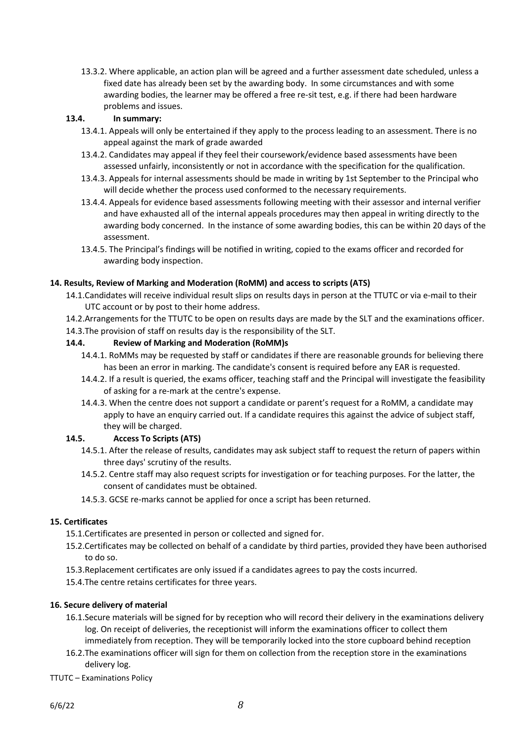13.3.2. Where applicable, an action plan will be agreed and a further assessment date scheduled, unless a fixed date has already been set by the awarding body. In some circumstances and with some awarding bodies, the learner may be offered a free re-sit test, e.g. if there had been hardware problems and issues.

#### **13.4. In summary:**

- 13.4.1. Appeals will only be entertained if they apply to the process leading to an assessment. There is no appeal against the mark of grade awarded
- 13.4.2. Candidates may appeal if they feel their coursework/evidence based assessments have been assessed unfairly, inconsistently or not in accordance with the specification for the qualification.
- 13.4.3. Appeals for internal assessments should be made in writing by 1st September to the Principal who will decide whether the process used conformed to the necessary requirements.
- 13.4.4. Appeals for evidence based assessments following meeting with their assessor and internal verifier and have exhausted all of the internal appeals procedures may then appeal in writing directly to the awarding body concerned. In the instance of some awarding bodies, this can be within 20 days of the assessment.
- 13.4.5. The Principal's findings will be notified in writing, copied to the exams officer and recorded for awarding body inspection.

## **14. Results, Review of Marking and Moderation (RoMM) and access to scripts (ATS)**

- 14.1.Candidates will receive individual result slips on results days in person at the TTUTC or via e-mail to their UTC account or by post to their home address.
- 14.2.Arrangements for the TTUTC to be open on results days are made by the SLT and the examinations officer.
- 14.3.The provision of staff on results day is the responsibility of the SLT.

## **14.4. Review of Marking and Moderation (RoMM)s**

- 14.4.1. RoMMs may be requested by staff or candidates if there are reasonable grounds for believing there has been an error in marking. The candidate's consent is required before any EAR is requested.
- 14.4.2. If a result is queried, the exams officer, teaching staff and the Principal will investigate the feasibility of asking for a re-mark at the centre's expense.
- 14.4.3. When the centre does not support a candidate or parent's request for a RoMM, a candidate may apply to have an enquiry carried out. If a candidate requires this against the advice of subject staff, they will be charged.

#### **14.5. Access To Scripts (ATS)**

- 14.5.1. After the release of results, candidates may ask subject staff to request the return of papers within three days' scrutiny of the results.
- 14.5.2. Centre staff may also request scripts for investigation or for teaching purposes. For the latter, the consent of candidates must be obtained.
- 14.5.3. GCSE re-marks cannot be applied for once a script has been returned.

#### **15. Certificates**

- 15.1.Certificates are presented in person or collected and signed for.
- 15.2.Certificates may be collected on behalf of a candidate by third parties, provided they have been authorised to do so.
- 15.3.Replacement certificates are only issued if a candidates agrees to pay the costs incurred.
- 15.4.The centre retains certificates for three years.

#### **16. Secure delivery of material**

- 16.1.Secure materials will be signed for by reception who will record their delivery in the examinations delivery log. On receipt of deliveries, the receptionist will inform the examinations officer to collect them immediately from reception. They will be temporarily locked into the store cupboard behind reception
- 16.2.The examinations officer will sign for them on collection from the reception store in the examinations delivery log.
- TTUTC Examinations Policy